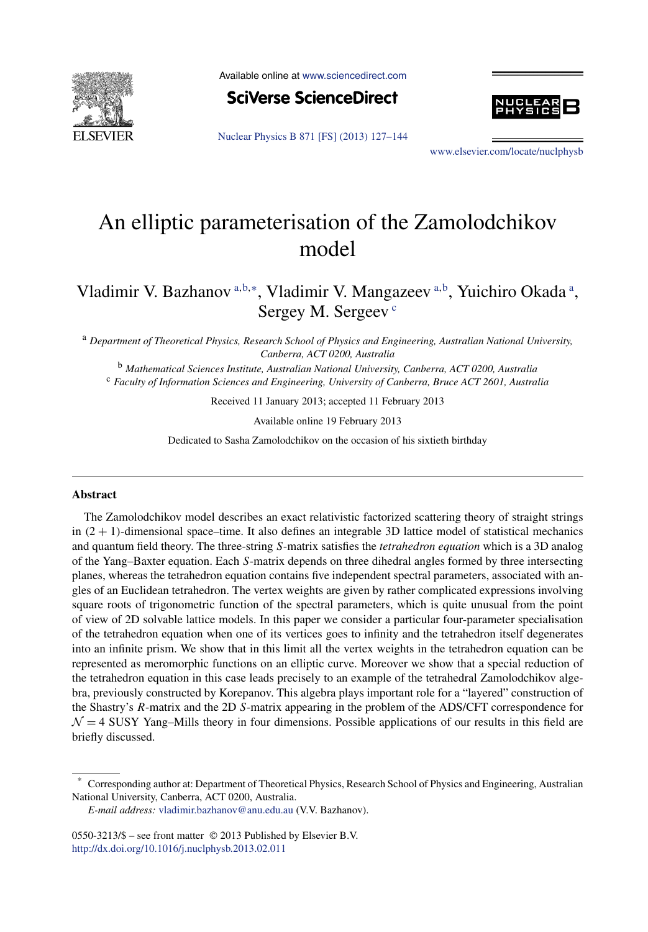

Available online at [www.sciencedirect.com](http://www.sciencedirect.com)





[Nuclear Physics B 871 \[FS\] \(2013\) 127–144](http://dx.doi.org/10.1016/j.nuclphysb.2013.02.011)

[www.elsevier.com/locate/nuclphysb](http://www.elsevier.com/locate/nuclphysb)

# An elliptic parameterisation of the Zamolodchikov model

Vladimir V. Bazhanov<sup>a,b,∗</sup>, Vladimir V. Mangazeev<sup>a,b</sup>, Yuichiro Okada<sup>a</sup>, Sergey M. Sergeev<sup>c</sup>

<sup>a</sup> *Department of Theoretical Physics, Research School of Physics and Engineering, Australian National University, Canberra, ACT 0200, Australia*

<sup>b</sup> *Mathematical Sciences Institute, Australian National University, Canberra, ACT 0200, Australia*

<sup>c</sup> *Faculty of Information Sciences and Engineering, University of Canberra, Bruce ACT 2601, Australia*

Received 11 January 2013; accepted 11 February 2013

Available online 19 February 2013

Dedicated to Sasha Zamolodchikov on the occasion of his sixtieth birthday

#### **Abstract**

The Zamolodchikov model describes an exact relativistic factorized scattering theory of straight strings in  $(2 + 1)$ -dimensional space–time. It also defines an integrable 3D lattice model of statistical mechanics and quantum field theory. The three-string *S*-matrix satisfies the *tetrahedron equation* which is a 3D analog of the Yang–Baxter equation. Each *S*-matrix depends on three dihedral angles formed by three intersecting planes, whereas the tetrahedron equation contains five independent spectral parameters, associated with angles of an Euclidean tetrahedron. The vertex weights are given by rather complicated expressions involving square roots of trigonometric function of the spectral parameters, which is quite unusual from the point of view of 2D solvable lattice models. In this paper we consider a particular four-parameter specialisation of the tetrahedron equation when one of its vertices goes to infinity and the tetrahedron itself degenerates into an infinite prism. We show that in this limit all the vertex weights in the tetrahedron equation can be represented as meromorphic functions on an elliptic curve. Moreover we show that a special reduction of the tetrahedron equation in this case leads precisely to an example of the tetrahedral Zamolodchikov algebra, previously constructed by Korepanov. This algebra plays important role for a "layered" construction of the Shastry's *R*-matrix and the 2D *S*-matrix appearing in the problem of the ADS/CFT correspondence for  $\mathcal{N} = 4$  SUSY Yang–Mills theory in four dimensions. Possible applications of our results in this field are briefly discussed.

<sup>\*</sup> Corresponding author at: Department of Theoretical Physics, Research School of Physics and Engineering, Australian National University, Canberra, ACT 0200, Australia.

*E-mail address:* [vladimir.bazhanov@anu.edu.au](mailto:vladimir.bazhanov@anu.edu.au) (V.V. Bazhanov).

<sup>0550-3213/\$ –</sup> see front matter © 2013 Published by Elsevier B.V. <http://dx.doi.org/10.1016/j.nuclphysb.2013.02.011>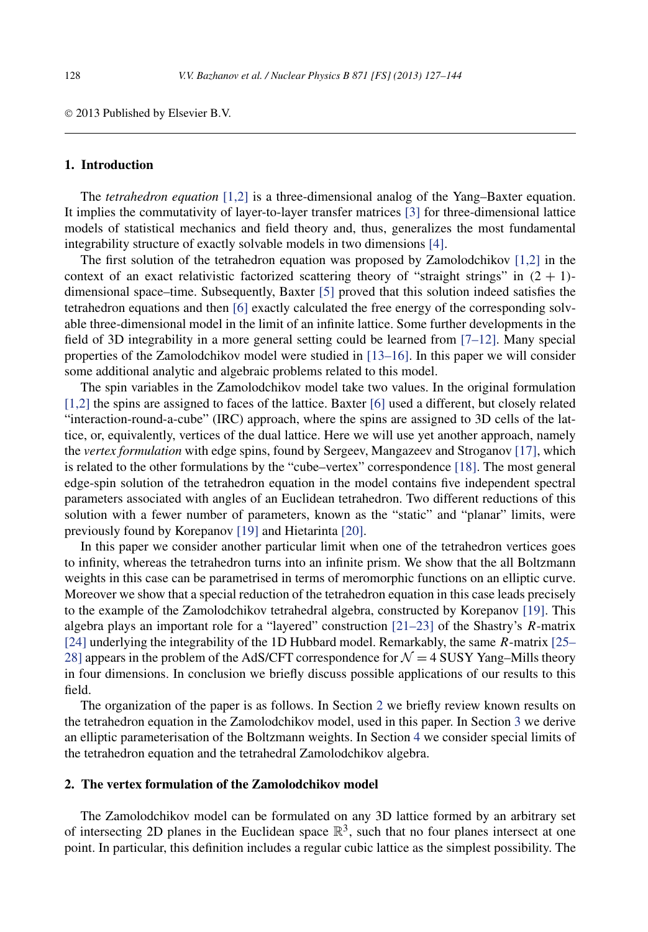© 2013 Published by Elsevier B.V.

#### **1. Introduction**

The *tetrahedron equation* [\[1,2\]](#page-16-0) is a three-dimensional analog of the Yang–Baxter equation. It implies the commutativity of layer-to-layer transfer matrices [\[3\]](#page-16-0) for three-dimensional lattice models of statistical mechanics and field theory and, thus, generalizes the most fundamental integrability structure of exactly solvable models in two dimensions [\[4\].](#page-16-0)

The first solution of the tetrahedron equation was proposed by Zamolodchikov  $[1,2]$  in the context of an exact relativistic factorized scattering theory of "straight strings" in  $(2 + 1)$ dimensional space–time. Subsequently, Baxter [\[5\]](#page-16-0) proved that this solution indeed satisfies the tetrahedron equations and then [\[6\]](#page-16-0) exactly calculated the free energy of the corresponding solvable three-dimensional model in the limit of an infinite lattice. Some further developments in the field of 3D integrability in a more general setting could be learned from [\[7–12\].](#page-16-0) Many special properties of the Zamolodchikov model were studied in [\[13–16\].](#page-16-0) In this paper we will consider some additional analytic and algebraic problems related to this model.

The spin variables in the Zamolodchikov model take two values. In the original formulation [\[1,2\]](#page-16-0) the spins are assigned to faces of the lattice. Baxter [\[6\]](#page-16-0) used a different, but closely related "interaction-round-a-cube" (IRC) approach, where the spins are assigned to 3D cells of the lattice, or, equivalently, vertices of the dual lattice. Here we will use yet another approach, namely the *vertex formulation* with edge spins, found by Sergeev, Mangazeev and Stroganov [\[17\],](#page-16-0) which is related to the other formulations by the "cube–vertex" correspondence [\[18\].](#page-16-0) The most general edge-spin solution of the tetrahedron equation in the model contains five independent spectral parameters associated with angles of an Euclidean tetrahedron. Two different reductions of this solution with a fewer number of parameters, known as the "static" and "planar" limits, were previously found by Korepanov [\[19\]](#page-16-0) and Hietarinta [\[20\].](#page-17-0)

In this paper we consider another particular limit when one of the tetrahedron vertices goes to infinity, whereas the tetrahedron turns into an infinite prism. We show that the all Boltzmann weights in this case can be parametrised in terms of meromorphic functions on an elliptic curve. Moreover we show that a special reduction of the tetrahedron equation in this case leads precisely to the example of the Zamolodchikov tetrahedral algebra, constructed by Korepanov [\[19\].](#page-16-0) This algebra plays an important role for a "layered" construction [\[21–23\]](#page-17-0) of the Shastry's *R*-matrix [\[24\]](#page-17-0) underlying the integrability of the 1D Hubbard model. Remarkably, the same *R*-matrix [\[25–](#page-17-0) [28\]](#page-17-0) appears in the problem of the AdS/CFT correspondence for  $\mathcal{N} = 4$  SUSY Yang–Mills theory in four dimensions. In conclusion we briefly discuss possible applications of our results to this field.

The organization of the paper is as follows. In Section 2 we briefly review known results on the tetrahedron equation in the Zamolodchikov model, used in this paper. In Section [3](#page-5-0) we derive an elliptic parameterisation of the Boltzmann weights. In Section [4](#page-9-0) we consider special limits of the tetrahedron equation and the tetrahedral Zamolodchikov algebra.

# **2. The vertex formulation of the Zamolodchikov model**

The Zamolodchikov model can be formulated on any 3D lattice formed by an arbitrary set of intersecting 2D planes in the Euclidean space  $\mathbb{R}^3$ , such that no four planes intersect at one point. In particular, this definition includes a regular cubic lattice as the simplest possibility. The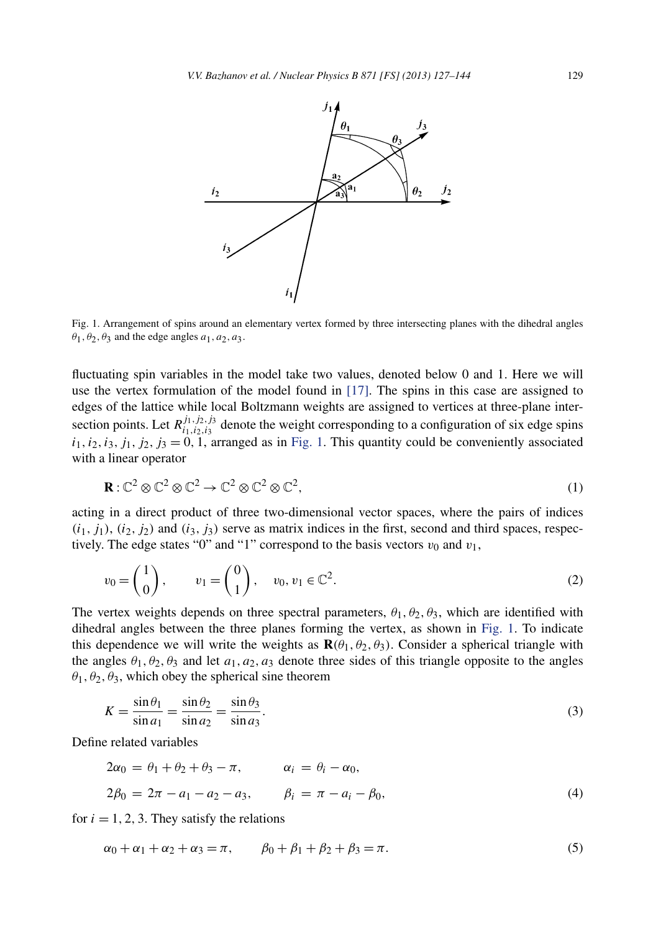<span id="page-2-0"></span>

Fig. 1. Arrangement of spins around an elementary vertex formed by three intersecting planes with the dihedral angles  $\theta_1$ ,  $\theta_2$ ,  $\theta_3$  and the edge angles  $a_1$ ,  $a_2$ ,  $a_3$ .

fluctuating spin variables in the model take two values, denoted below 0 and 1. Here we will use the vertex formulation of the model found in [\[17\].](#page-16-0) The spins in this case are assigned to edges of the lattice while local Boltzmann weights are assigned to vertices at three-plane intersection points. Let  $R_{i_1,i_2,i_3}^{j_1,j_2,j_3}$  denote the weight corresponding to a configuration of six edge spins  $i_1, i_2, i_3, j_1, j_2, j_3 = 0, 1$ , arranged as in Fig. 1. This quantity could be conveniently associated with a linear operator

$$
\mathbf{R} : \mathbb{C}^2 \otimes \mathbb{C}^2 \otimes \mathbb{C}^2 \to \mathbb{C}^2 \otimes \mathbb{C}^2 \otimes \mathbb{C}^2,\tag{1}
$$

acting in a direct product of three two-dimensional vector spaces, where the pairs of indices  $(i_1, j_1)$ ,  $(i_2, j_2)$  and  $(i_3, j_3)$  serve as matrix indices in the first, second and third spaces, respectively. The edge states "0" and "1" correspond to the basis vectors  $v_0$  and  $v_1$ ,

$$
v_0 = \begin{pmatrix} 1 \\ 0 \end{pmatrix}, \qquad v_1 = \begin{pmatrix} 0 \\ 1 \end{pmatrix}, \quad v_0, v_1 \in \mathbb{C}^2.
$$
 (2)

The vertex weights depends on three spectral parameters,  $\theta_1, \theta_2, \theta_3$ , which are identified with dihedral angles between the three planes forming the vertex, as shown in Fig. 1. To indicate this dependence we will write the weights as  $\mathbf{R}(\theta_1, \theta_2, \theta_3)$ . Consider a spherical triangle with the angles  $\theta_1, \theta_2, \theta_3$  and let  $a_1, a_2, a_3$  denote three sides of this triangle opposite to the angles  $\theta_1$ ,  $\theta_2$ ,  $\theta_3$ , which obey the spherical sine theorem

$$
K = \frac{\sin \theta_1}{\sin a_1} = \frac{\sin \theta_2}{\sin a_2} = \frac{\sin \theta_3}{\sin a_3}.
$$
\n(3)

Define related variables

$$
2\alpha_0 = \theta_1 + \theta_2 + \theta_3 - \pi, \qquad \alpha_i = \theta_i - \alpha_0, 2\beta_0 = 2\pi - a_1 - a_2 - a_3, \qquad \beta_i = \pi - a_i - \beta_0,
$$
 (4)

for  $i = 1, 2, 3$ . They satisfy the relations

$$
\alpha_0 + \alpha_1 + \alpha_2 + \alpha_3 = \pi, \qquad \beta_0 + \beta_1 + \beta_2 + \beta_3 = \pi. \tag{5}
$$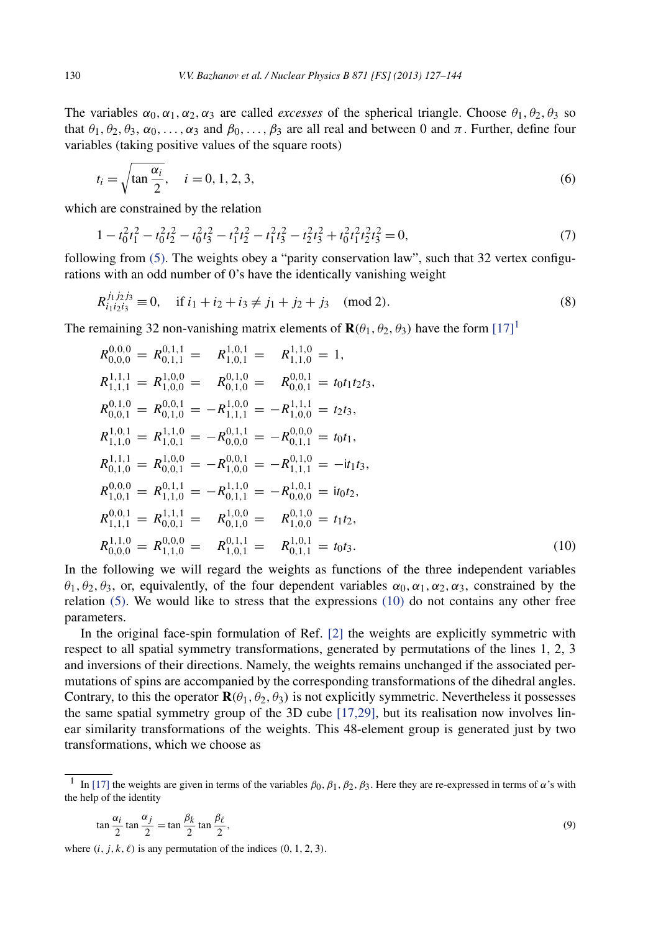<span id="page-3-0"></span>The variables  $\alpha_0, \alpha_1, \alpha_2, \alpha_3$  are called *excesses* of the spherical triangle. Choose  $\theta_1, \theta_2, \theta_3$  so that  $\theta_1, \theta_2, \theta_3, \alpha_0, \ldots, \alpha_3$  and  $\beta_0, \ldots, \beta_3$  are all real and between 0 and  $\pi$ . Further, define four variables (taking positive values of the square roots)

$$
t_i = \sqrt{\tan \frac{\alpha_i}{2}}, \quad i = 0, 1, 2, 3,
$$
\n(6)

which are constrained by the relation

$$
1 - t_0^2 t_1^2 - t_0^2 t_2^2 - t_0^2 t_3^2 - t_1^2 t_2^2 - t_1^2 t_3^2 - t_2^2 t_3^2 + t_0^2 t_1^2 t_2^2 t_3^2 = 0,
$$
\n<sup>(7)</sup>

following from [\(5\).](#page-2-0) The weights obey a "parity conservation law", such that 32 vertex configurations with an odd number of 0's have the identically vanishing weight

$$
R_{i_1 i_2 i_3}^{j_1 j_2 j_3} \equiv 0, \quad \text{if } i_1 + i_2 + i_3 \neq j_1 + j_2 + j_3 \pmod{2}.
$$
 (8)

The remaining 32 non-vanishing matrix elements of  $\mathbf{R}(\theta_1, \theta_2, \theta_3)$  have the form  $[17]$ <sup>1</sup>

$$
R_{0,0,0}^{0,0,0} = R_{0,1,1}^{0,1,1} = R_{1,0,1}^{1,0,1} = R_{1,1,0}^{1,1,0} = 1,
$$
  
\n
$$
R_{1,1,1}^{1,1,1} = R_{1,0,0}^{1,0,0} = R_{0,1,0}^{0,1,0} = R_{0,0,1}^{0,0,1} = t_0 t_1 t_2 t_3,
$$
  
\n
$$
R_{0,0,1}^{0,1,0} = R_{0,1,0}^{0,0,1} = -R_{1,1,1}^{1,0,0} = -R_{1,0,0}^{1,1,1} = t_2 t_3,
$$
  
\n
$$
R_{1,1,0}^{1,0,1} = R_{1,0,1}^{1,1,0} = -R_{0,0,0}^{0,1,1} = -R_{0,1,1}^{0,0,0} = t_0 t_1,
$$
  
\n
$$
R_{0,1,0}^{1,1,1} = R_{0,0,1}^{1,0,0} = -R_{1,0,0}^{0,0,1} = -R_{1,1,1}^{0,1,0} = -it_1 t_3,
$$
  
\n
$$
R_{1,0,1}^{0,0,0} = R_{1,1,0}^{0,1,1} = -R_{0,1,1}^{1,1,0} = -R_{0,0,0}^{1,0,1} = it_0 t_2,
$$
  
\n
$$
R_{1,1,1}^{0,0,1} = R_{1,1,1}^{1,1,1} = R_{0,0,1}^{1,0,0} = R_{1,0,0}^{0,1,0} = t_1 t_2,
$$
  
\n
$$
R_{0,0,0}^{1,1} = R_{0,0,1}^{1,1,1} = R_{0,1,1}^{1,0,1} = R_{0,1,1}^{0,1} = t_0 t_3.
$$
  
\n(10)

In the following we will regard the weights as functions of the three independent variables *θ*<sub>1</sub>*, θ*<sub>2</sub>*, θ*<sub>3</sub>*,* or, equivalently, of the four dependent variables  $α_0, α_1, α_2, α_3$ , constrained by the relation  $(5)$ . We would like to stress that the expressions  $(10)$  do not contains any other free parameters.

In the original face-spin formulation of Ref. [\[2\]](#page-16-0) the weights are explicitly symmetric with respect to all spatial symmetry transformations, generated by permutations of the lines 1, 2, 3 and inversions of their directions. Namely, the weights remains unchanged if the associated permutations of spins are accompanied by the corresponding transformations of the dihedral angles. Contrary, to this the operator  $\mathbf{R}(\theta_1, \theta_2, \theta_3)$  is not explicitly symmetric. Nevertheless it possesses the same spatial symmetry group of the 3D cube [\[17,29\],](#page-16-0) but its realisation now involves linear similarity transformations of the weights. This 48-element group is generated just by two transformations, which we choose as

$$
\tan\frac{\alpha_i}{2}\tan\frac{\alpha_j}{2} = \tan\frac{\beta_k}{2}\tan\frac{\beta_\ell}{2},\tag{9}
$$

where  $(i, j, k, \ell)$  is any permutation of the indices  $(0, 1, 2, 3)$ .

<sup>&</sup>lt;sup>1</sup> In [\[17\]](#page-16-0) the weights are given in terms of the variables  $\beta_0$ ,  $\beta_1$ ,  $\beta_2$ ,  $\beta_3$ . Here they are re-expressed in terms of *α*'s with the help of the identity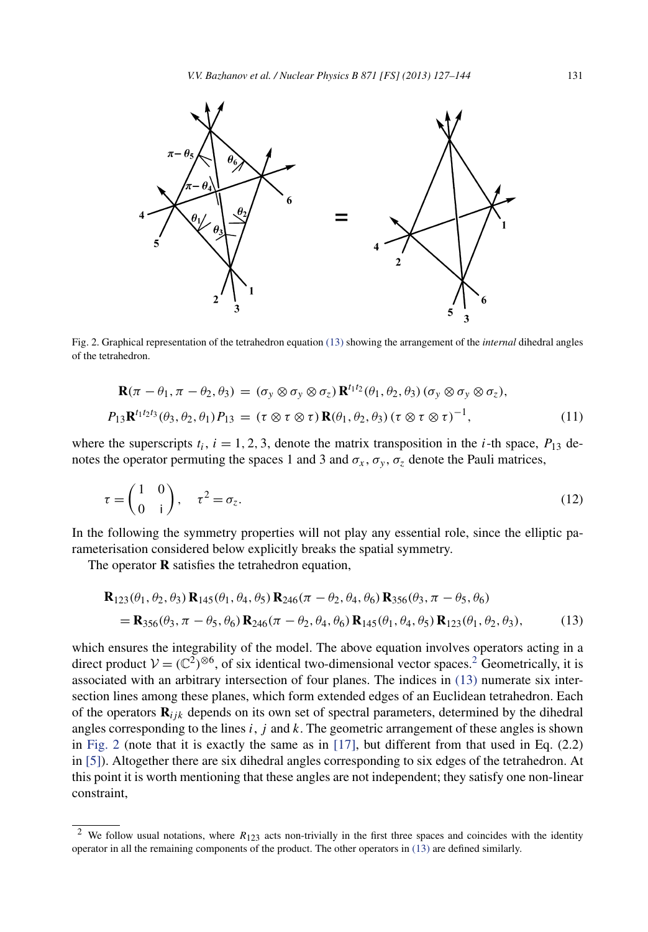<span id="page-4-0"></span>

Fig. 2. Graphical representation of the tetrahedron equation (13) showing the arrangement of the *internal* dihedral angles of the tetrahedron.

$$
\mathbf{R}(\pi - \theta_1, \pi - \theta_2, \theta_3) = (\sigma_y \otimes \sigma_y \otimes \sigma_z) \mathbf{R}^{t_1 t_2}(\theta_1, \theta_2, \theta_3) (\sigma_y \otimes \sigma_y \otimes \sigma_z),
$$
  
\n
$$
P_{13} \mathbf{R}^{t_1 t_2 t_3}(\theta_3, \theta_2, \theta_1) P_{13} = (\tau \otimes \tau \otimes \tau) \mathbf{R}(\theta_1, \theta_2, \theta_3) (\tau \otimes \tau \otimes \tau)^{-1},
$$
\n(11)

where the superscripts  $t_i$ ,  $i = 1, 2, 3$ , denote the matrix transposition in the *i*-th space,  $P_{13}$  denotes the operator permuting the spaces 1 and 3 and  $\sigma_x$ ,  $\sigma_y$ ,  $\sigma_z$  denote the Pauli matrices,

$$
\tau = \begin{pmatrix} 1 & 0 \\ 0 & i \end{pmatrix}, \quad \tau^2 = \sigma_z.
$$
 (12)

In the following the symmetry properties will not play any essential role, since the elliptic parameterisation considered below explicitly breaks the spatial symmetry.

The operator **R** satisfies the tetrahedron equation,

$$
\mathbf{R}_{123}(\theta_1, \theta_2, \theta_3) \mathbf{R}_{145}(\theta_1, \theta_4, \theta_5) \mathbf{R}_{246}(\pi - \theta_2, \theta_4, \theta_6) \mathbf{R}_{356}(\theta_3, \pi - \theta_5, \theta_6)
$$
  
=  $\mathbf{R}_{356}(\theta_3, \pi - \theta_5, \theta_6) \mathbf{R}_{246}(\pi - \theta_2, \theta_4, \theta_6) \mathbf{R}_{145}(\theta_1, \theta_4, \theta_5) \mathbf{R}_{123}(\theta_1, \theta_2, \theta_3),$  (13)

which ensures the integrability of the model. The above equation involves operators acting in a direct product  $V = (\mathbb{C}^2)^{\otimes 6}$ , of six identical two-dimensional vector spaces.<sup>2</sup> Geometrically, it is associated with an arbitrary intersection of four planes. The indices in (13) numerate six intersection lines among these planes, which form extended edges of an Euclidean tetrahedron. Each of the operators  $\mathbf{R}_{ijk}$  depends on its own set of spectral parameters, determined by the dihedral angles corresponding to the lines *i*, *j* and *k*. The geometric arrangement of these angles is shown in Fig. 2 (note that it is exactly the same as in  $[17]$ , but different from that used in Eq. (2.2) in [\[5\]\)](#page-16-0). Altogether there are six dihedral angles corresponding to six edges of the tetrahedron. At this point it is worth mentioning that these angles are not independent; they satisfy one non-linear constraint,

<sup>&</sup>lt;sup>2</sup> We follow usual notations, where  $R_{123}$  acts non-trivially in the first three spaces and coincides with the identity operator in all the remaining components of the product. The other operators in (13) are defined similarly.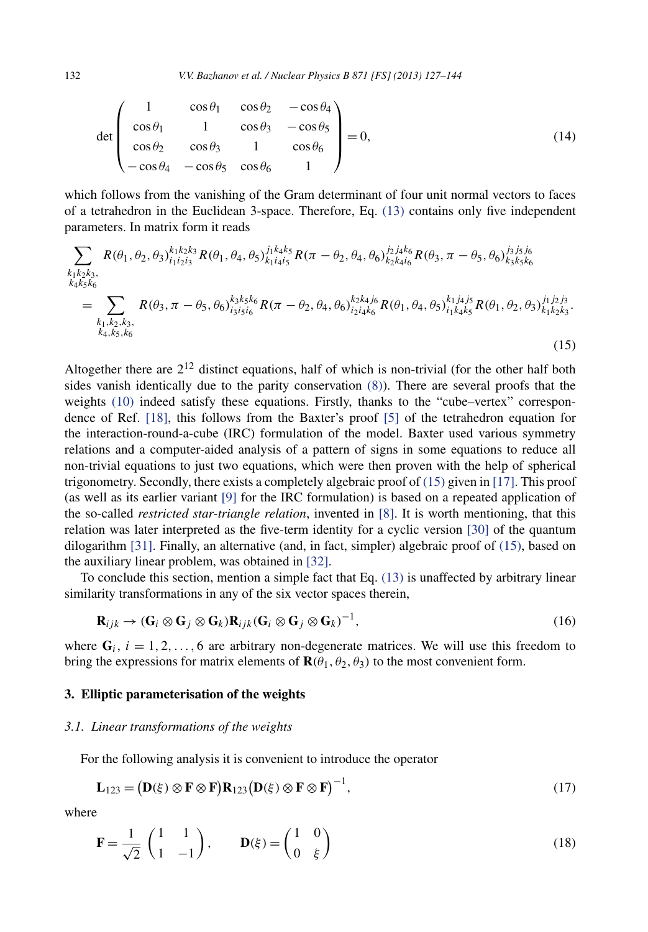<span id="page-5-0"></span>132 *V.V. Bazhanov et al. / Nuclear Physics B 871 [FS] (2013) 127–144*

$$
\det \begin{pmatrix} 1 & \cos \theta_1 & \cos \theta_2 & -\cos \theta_4 \\ \cos \theta_1 & 1 & \cos \theta_3 & -\cos \theta_5 \\ \cos \theta_2 & \cos \theta_3 & 1 & \cos \theta_6 \\ -\cos \theta_4 & -\cos \theta_5 & \cos \theta_6 & 1 \end{pmatrix} = 0, \tag{14}
$$

which follows from the vanishing of the Gram determinant of four unit normal vectors to faces of a tetrahedron in the Euclidean 3-space. Therefore, Eq. [\(13\)](#page-4-0) contains only five independent parameters. In matrix form it reads

$$
\sum_{\substack{k_1k_2k_3,\\k_4k_5k_6}} R(\theta_1, \theta_2, \theta_3)_{i_1i_2i_3}^{k_1k_2k_3} R(\theta_1, \theta_4, \theta_5)_{k_1i_4i_5}^{j_1k_4k_5} R(\pi - \theta_2, \theta_4, \theta_6)_{k_2k_4i_6}^{j_2j_4k_6} R(\theta_3, \pi - \theta_5, \theta_6)_{k_3k_5k_6}^{j_3j_5j_6}
$$
\n
$$
= \sum_{\substack{k_1, k_2, k_3,\\k_4, k_5, k_6}} R(\theta_3, \pi - \theta_5, \theta_6)_{i_3i_5i_6}^{k_3k_5k_6} R(\pi - \theta_2, \theta_4, \theta_6)_{i_2i_4k_6}^{k_2k_4j_6} R(\theta_1, \theta_4, \theta_5)_{i_1k_4k_5}^{k_1j_4j_5} R(\theta_1, \theta_2, \theta_3)_{k_1k_2k_3}^{j_1j_2j_3}.
$$
\n
$$
(15)
$$

Altogether there are  $2^{12}$  distinct equations, half of which is non-trivial (for the other half both sides vanish identically due to the parity conservation [\(8\)\)](#page-3-0). There are several proofs that the weights [\(10\)](#page-3-0) indeed satisfy these equations. Firstly, thanks to the "cube–vertex" correspondence of Ref. [\[18\],](#page-16-0) this follows from the Baxter's proof [\[5\]](#page-16-0) of the tetrahedron equation for the interaction-round-a-cube (IRC) formulation of the model. Baxter used various symmetry relations and a computer-aided analysis of a pattern of signs in some equations to reduce all non-trivial equations to just two equations, which were then proven with the help of spherical trigonometry. Secondly, there exists a completely algebraic proof of (15) given in [\[17\].](#page-16-0) This proof (as well as its earlier variant [\[9\]](#page-16-0) for the IRC formulation) is based on a repeated application of the so-called *restricted star-triangle relation*, invented in [\[8\].](#page-16-0) It is worth mentioning, that this relation was later interpreted as the five-term identity for a cyclic version [\[30\]](#page-17-0) of the quantum dilogarithm [\[31\].](#page-17-0) Finally, an alternative (and, in fact, simpler) algebraic proof of (15), based on the auxiliary linear problem, was obtained in [\[32\].](#page-17-0)

To conclude this section, mention a simple fact that Eq. [\(13\)](#page-4-0) is unaffected by arbitrary linear similarity transformations in any of the six vector spaces therein,

$$
\mathbf{R}_{ijk} \to (\mathbf{G}_i \otimes \mathbf{G}_j \otimes \mathbf{G}_k) \mathbf{R}_{ijk} (\mathbf{G}_i \otimes \mathbf{G}_j \otimes \mathbf{G}_k)^{-1},
$$
\n(16)

where  $G_i$ ,  $i = 1, 2, \ldots, 6$  are arbitrary non-degenerate matrices. We will use this freedom to bring the expressions for matrix elements of  $\mathbf{R}(\theta_1, \theta_2, \theta_3)$  to the most convenient form.

#### **3. Elliptic parameterisation of the weights**

#### *3.1. Linear transformations of the weights*

For the following analysis it is convenient to introduce the operator

$$
\mathbf{L}_{123} = (\mathbf{D}(\xi) \otimes \mathbf{F} \otimes \mathbf{F}) \mathbf{R}_{123} (\mathbf{D}(\xi) \otimes \mathbf{F} \otimes \mathbf{F})^{-1},
$$
\n(17)

where

$$
\mathbf{F} = \frac{1}{\sqrt{2}} \begin{pmatrix} 1 & 1 \\ 1 & -1 \end{pmatrix}, \qquad \mathbf{D}(\xi) = \begin{pmatrix} 1 & 0 \\ 0 & \xi \end{pmatrix}
$$
 (18)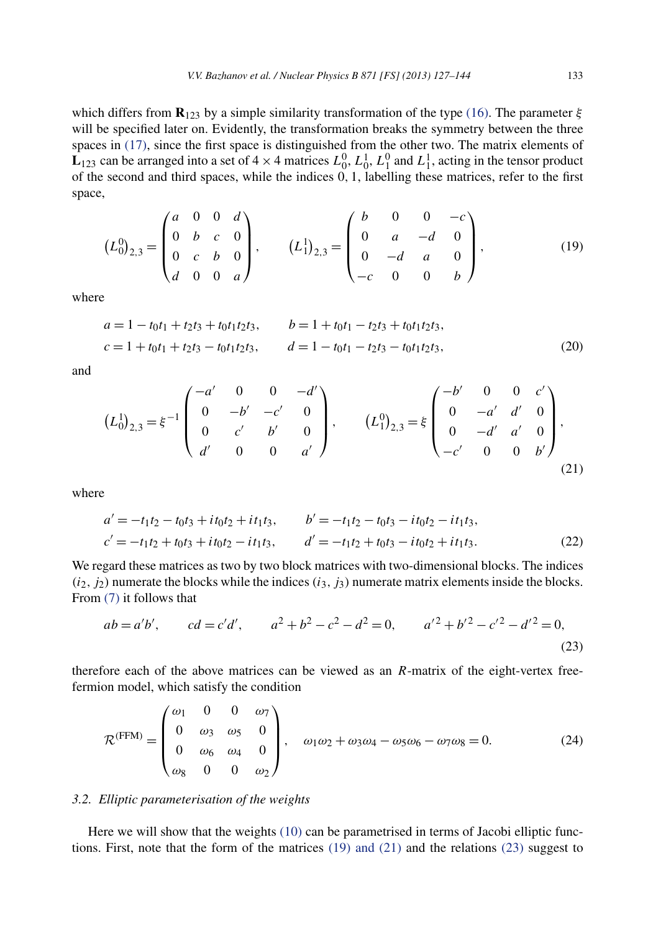<span id="page-6-0"></span>which differs from **R**<sub>123</sub> by a simple similarity transformation of the type [\(16\).](#page-5-0) The parameter  $\xi$ will be specified later on. Evidently, the transformation breaks the symmetry between the three spaces in [\(17\),](#page-5-0) since the first space is distinguished from the other two. The matrix elements of  $L_{123}$  can be arranged into a set of  $4 \times 4$  matrices  $L_0^0$ ,  $L_0^1$ ,  $L_1^0$  and  $L_1^1$ , acting in the tensor product of the second and third spaces, while the indices 0*,* 1, labelling these matrices, refer to the first space,

$$
(L_0^0)_{2,3} = \begin{pmatrix} a & 0 & 0 & d \\ 0 & b & c & 0 \\ 0 & c & b & 0 \\ d & 0 & 0 & a \end{pmatrix}, \qquad (L_1^1)_{2,3} = \begin{pmatrix} b & 0 & 0 & -c \\ 0 & a & -d & 0 \\ 0 & -d & a & 0 \\ -c & 0 & 0 & b \end{pmatrix}, \qquad (19)
$$

where

$$
a = 1 - t_0 t_1 + t_2 t_3 + t_0 t_1 t_2 t_3, \t b = 1 + t_0 t_1 - t_2 t_3 + t_0 t_1 t_2 t_3,
$$
  
\n
$$
c = 1 + t_0 t_1 + t_2 t_3 - t_0 t_1 t_2 t_3, \t d = 1 - t_0 t_1 - t_2 t_3 - t_0 t_1 t_2 t_3,
$$
\n(20)

and

$$
(L_0^1)_{2,3} = \xi^{-1} \begin{pmatrix} -a' & 0 & 0 & -d' \\ 0 & -b' & -c' & 0 \\ 0 & c' & b' & 0 \\ d' & 0 & 0 & a' \end{pmatrix}, \qquad (L_1^0)_{2,3} = \xi \begin{pmatrix} -b' & 0 & 0 & c' \\ 0 & -a' & d' & 0 \\ 0 & -d' & a' & 0 \\ -c' & 0 & 0 & b' \end{pmatrix},
$$
(21)

where

$$
a' = -t_1t_2 - t_0t_3 + it_0t_2 + it_1t_3, \qquad b' = -t_1t_2 - t_0t_3 - it_0t_2 - it_1t_3,
$$
  
\n
$$
c' = -t_1t_2 + t_0t_3 + it_0t_2 - it_1t_3, \qquad d' = -t_1t_2 + t_0t_3 - it_0t_2 + it_1t_3.
$$
\n(22)

We regard these matrices as two by two block matrices with two-dimensional blocks. The indices  $(i_2, j_2)$  numerate the blocks while the indices  $(i_3, j_3)$  numerate matrix elements inside the blocks. From [\(7\)](#page-3-0) it follows that

$$
ab = a'b', \qquad cd = c'd', \qquad a^2 + b^2 - c^2 - d^2 = 0, \qquad a'^2 + b'^2 - c'^2 - d'^2 = 0,
$$
\n(23)

therefore each of the above matrices can be viewed as an *R*-matrix of the eight-vertex freefermion model, which satisfy the condition

$$
\mathcal{R}^{(\text{FFM})} = \begin{pmatrix} \omega_1 & 0 & 0 & \omega_7 \\ 0 & \omega_3 & \omega_5 & 0 \\ 0 & \omega_6 & \omega_4 & 0 \\ \omega_8 & 0 & 0 & \omega_2 \end{pmatrix}, \quad \omega_1\omega_2 + \omega_3\omega_4 - \omega_5\omega_6 - \omega_7\omega_8 = 0.
$$
 (24)

#### *3.2. Elliptic parameterisation of the weights*

Here we will show that the weights [\(10\)](#page-3-0) can be parametrised in terms of Jacobi elliptic functions. First, note that the form of the matrices  $(19)$  and  $(21)$  and the relations  $(23)$  suggest to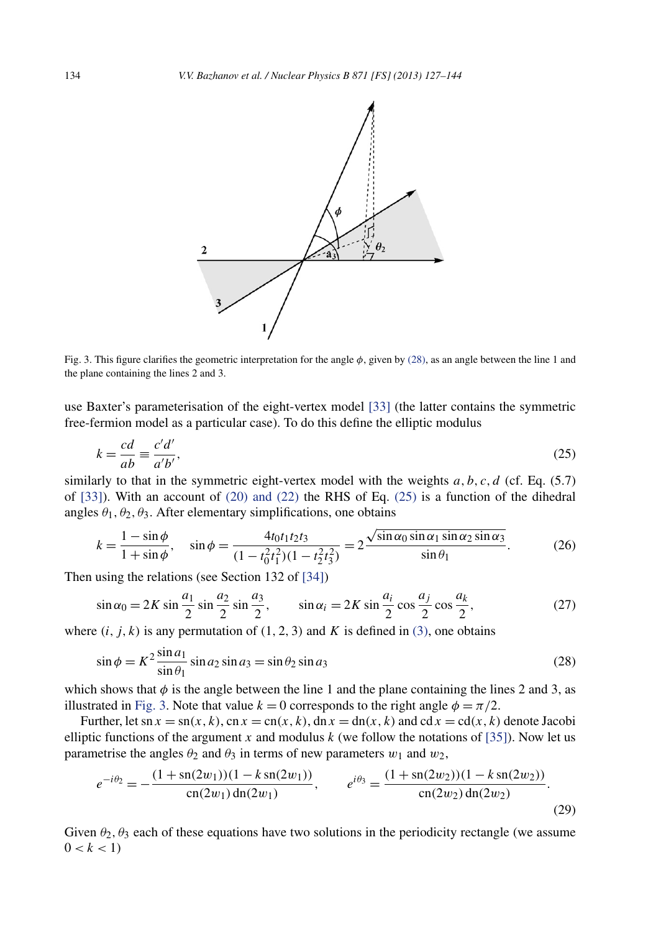<span id="page-7-0"></span>

Fig. 3. This figure clarifies the geometric interpretation for the angle *φ*, given by (28), as an angle between the line 1 and the plane containing the lines 2 and 3.

use Baxter's parameterisation of the eight-vertex model [\[33\]](#page-17-0) (the latter contains the symmetric free-fermion model as a particular case). To do this define the elliptic modulus

$$
k = \frac{cd}{ab} \equiv \frac{c'd'}{a'b'},\tag{25}
$$

similarly to that in the symmetric eight-vertex model with the weights  $a, b, c, d$  (cf. Eq. (5.7) of [\[33\]\)](#page-17-0). With an account of [\(20\) and \(22\)](#page-6-0) the RHS of Eq. (25) is a function of the dihedral angles  $\theta_1$ ,  $\theta_2$ ,  $\theta_3$ . After elementary simplifications, one obtains

$$
k = \frac{1 - \sin \phi}{1 + \sin \phi}, \quad \sin \phi = \frac{4t_0t_1t_2t_3}{(1 - t_0^2 t_1^2)(1 - t_2^2 t_3^2)} = 2 \frac{\sqrt{\sin \alpha_0 \sin \alpha_1 \sin \alpha_2 \sin \alpha_3}}{\sin \theta_1}.
$$
 (26)

Then using the relations (see Section 132 of [\[34\]\)](#page-17-0)

$$
\sin \alpha_0 = 2K \sin \frac{a_1}{2} \sin \frac{a_2}{2} \sin \frac{a_3}{2}, \qquad \sin \alpha_i = 2K \sin \frac{a_i}{2} \cos \frac{a_j}{2} \cos \frac{a_k}{2}, \tag{27}
$$

where  $(i, j, k)$  is any permutation of  $(1, 2, 3)$  and K is defined in  $(3)$ , one obtains

$$
\sin \phi = K^2 \frac{\sin a_1}{\sin \theta_1} \sin a_2 \sin a_3 = \sin \theta_2 \sin a_3 \tag{28}
$$

which shows that  $\phi$  is the angle between the line 1 and the plane containing the lines 2 and 3, as illustrated in Fig. 3. Note that value  $k = 0$  corresponds to the right angle  $\phi = \pi/2$ .

Further, let  $\text{sn } x = \text{sn}(x, k)$ ,  $\text{cn } x = \text{cn}(x, k)$ ,  $\text{dn } x = \text{dn}(x, k)$  and  $\text{cd } x = \text{cd}(x, k)$  denote Jacobi elliptic functions of the argument *x* and modulus  $k$  (we follow the notations of [\[35\]\)](#page-17-0). Now let us parametrise the angles  $\theta_2$  and  $\theta_3$  in terms of new parameters  $w_1$  and  $w_2$ ,

$$
e^{-i\theta_2} = -\frac{(1 + \operatorname{sn}(2w_1))(1 - k\operatorname{sn}(2w_1))}{\operatorname{cn}(2w_1)\operatorname{dn}(2w_1)}, \qquad e^{i\theta_3} = \frac{(1 + \operatorname{sn}(2w_2))(1 - k\operatorname{sn}(2w_2))}{\operatorname{cn}(2w_2)\operatorname{dn}(2w_2)}.
$$
\n(29)

Given  $\theta_2$ ,  $\theta_3$  each of these equations have two solutions in the periodicity rectangle (we assume  $0 < k < 1$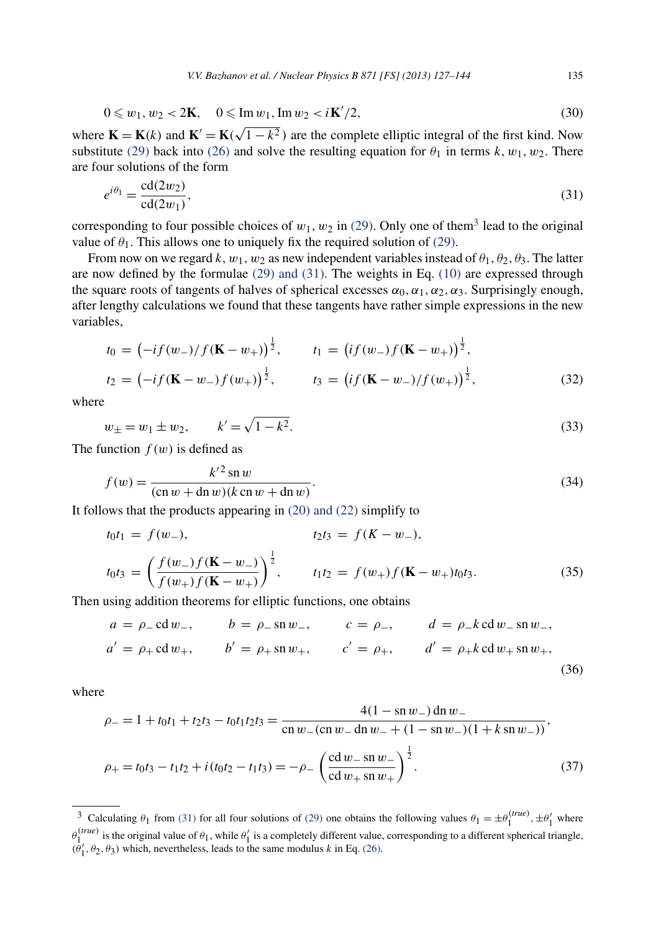$$
0 \leq w_1, w_2 < 2\mathbf{K}, \quad 0 \leq \operatorname{Im} w_1, \operatorname{Im} w_2 < i\mathbf{K}'/2,\tag{30}
$$

<span id="page-8-0"></span>where  $\mathbf{K} = \mathbf{K}(k)$  and  $\mathbf{K}' = \mathbf{K}(\sqrt{1 - k^2})$  are the complete elliptic integral of the first kind. Now substitute [\(29\)](#page-7-0) back into [\(26\)](#page-7-0) and solve the resulting equation for  $\theta_1$  in terms  $k, w_1, w_2$ . There are four solutions of the form

$$
e^{i\theta_1} = \frac{\text{cd}(2w_2)}{\text{cd}(2w_1)},\tag{31}
$$

corresponding to four possible choices of  $w_1, w_2$  in [\(29\).](#page-7-0) Only one of them<sup>3</sup> lead to the original value of  $\theta_1$ . This allows one to uniquely fix the required solution of [\(29\).](#page-7-0)

From now on we regard  $k, w_1, w_2$  as new independent variables instead of  $\theta_1, \theta_2, \theta_3$ . The latter are now defined by the formulae  $(29)$  and  $(31)$ . The weights in Eq.  $(10)$  are expressed through the square roots of tangents of halves of spherical excesses  $\alpha_0$ ,  $\alpha_1$ ,  $\alpha_2$ ,  $\alpha_3$ . Surprisingly enough, after lengthy calculations we found that these tangents have rather simple expressions in the new variables,

$$
t_0 = (-if(w_-)/f(\mathbf{K} - w_+))^{\frac{1}{2}}, \t t_1 = (if(w_-)f(\mathbf{K} - w_+))^{\frac{1}{2}},
$$
  

$$
t_2 = (-if(\mathbf{K} - w_-)f(w_+))^{\frac{1}{2}}, \t t_3 = (if(\mathbf{K} - w_-)/f(w_+))^{\frac{1}{2}},
$$
(32)

where

$$
w_{\pm} = w_1 \pm w_2, \qquad k' = \sqrt{1 - k^2}.
$$
\n(33)

The function  $f(w)$  is defined as

$$
f(w) = \frac{k'^2 \sin w}{(\cos w + \sin w)(k \cos w + \sin w)}.
$$
 (34)

It follows that the products appearing in [\(20\) and \(22\)](#page-6-0) simplify to

$$
t_0t_1 = f(w_-), \t t_2t_3 = f(K - w_-),
$$
  
\n
$$
t_0t_3 = \left(\frac{f(w_-)f(\mathbf{K} - w_-)}{f(w_+)f(\mathbf{K} - w_+)}\right)^{\frac{1}{2}}, \t t_1t_2 = f(w_+)f(\mathbf{K} - w_+)t_0t_3.
$$
\n(35)

Then using addition theorems for elliptic functions, one obtains

$$
a = \rho_- c d w_-,
$$
  $b = \rho_- s n w_-,$   $c = \rho_-,$   $d = \rho_- k c d w_- s n w_-,$   
\n $a' = \rho_+ c d w_+,$   $b' = \rho_+ s n w_+,$   $c' = \rho_+,$   $d' = \rho_+ k c d w_+ s n w_+,$  (36)

where

$$
\rho_{-} = 1 + t_0 t_1 + t_2 t_3 - t_0 t_1 t_2 t_3 = \frac{4(1 - \text{sn } w_{-}) \text{dn } w_{-}}{\text{cn } w_{-} (\text{cn } w_{-} \text{ dn } w_{-} + (1 - \text{sn } w_{-})(1 + k \text{ sn } w_{-}))},
$$
  

$$
\rho_{+} = t_0 t_3 - t_1 t_2 + i(t_0 t_2 - t_1 t_3) = -\rho_{-} \left(\frac{\text{cd } w_{-} \text{sn } w_{-}}{\text{cd } w_{+} \text{sn } w_{+}}\right)^{\frac{1}{2}}.
$$
(37)

<sup>&</sup>lt;sup>3</sup> Calculating  $\theta_1$  from (31) for all four solutions of [\(29\)](#page-7-0) one obtains the following values  $\theta_1 = \pm \theta_1^{(true)}$ ,  $\pm \theta_1'$  where  $θ_1^{(true)}$  is the original value of  $θ_1$ , while  $θ'_1$  is a completely different value, corresponding to a different spherical triangle,  $(\theta_1', \theta_2, \theta_3)$  which, nevertheless, leads to the same modulus *k* in Eq. [\(26\).](#page-7-0)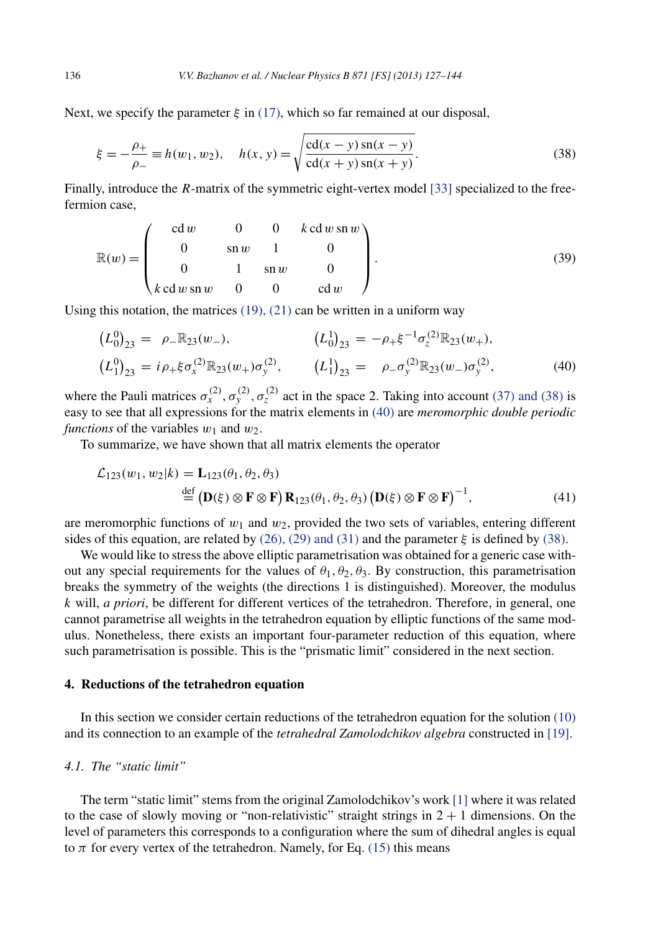Next, we specify the parameter  $\xi$  in [\(17\),](#page-5-0) which so far remained at our disposal,

$$
\xi = -\frac{\rho_+}{\rho_-} \equiv h(w_1, w_2), \quad h(x, y) = \sqrt{\frac{\text{cd}(x - y) \sin(x - y)}{\text{cd}(x + y) \sin(x + y)}}.
$$
\n(38)

Finally, introduce the *R*-matrix of the symmetric eight-vertex model [\[33\]](#page-17-0) specialized to the freefermion case,

$$
\mathbb{R}(w) = \begin{pmatrix} c d w & 0 & 0 & k c d w \sin w \\ 0 & \sin w & 1 & 0 \\ 0 & 1 & \sin w & 0 \\ k c d w \sin w & 0 & 0 & c d w \end{pmatrix}.
$$
 (39)

Using this notation, the matrices  $(19)$ ,  $(21)$  can be written in a uniform way

$$
(L_0^0)_{23} = \rho_- \mathbb{R}_{23}(w_-), \qquad (L_0^1)_{23} = -\rho_+ \xi^{-1} \sigma_z^{(2)} \mathbb{R}_{23}(w_+), (L_1^0)_{23} = i \rho_+ \xi \sigma_x^{(2)} \mathbb{R}_{23}(w_+) \sigma_y^{(2)}, \qquad (L_1^1)_{23} = \rho_- \sigma_y^{(2)} \mathbb{R}_{23}(w_-) \sigma_y^{(2)},
$$
(40)

where the Pauli matrices  $\sigma_x^{(2)}$ ,  $\sigma_y^{(2)}$ ,  $\sigma_z^{(2)}$  act in the space 2. Taking into account [\(37\) and \(38\)](#page-8-0) is easy to see that all expressions for the matrix elements in (40) are *meromorphic double periodic functions* of the variables  $w_1$  and  $w_2$ .

To summarize, we have shown that all matrix elements the operator

$$
\mathcal{L}_{123}(w_1, w_2|k) = \mathbf{L}_{123}(\theta_1, \theta_2, \theta_3)
$$
  
\n
$$
\stackrel{\text{def}}{=} (\mathbf{D}(\xi) \otimes \mathbf{F} \otimes \mathbf{F}) \mathbf{R}_{123}(\theta_1, \theta_2, \theta_3) (\mathbf{D}(\xi) \otimes \mathbf{F} \otimes \mathbf{F})^{-1},
$$
\n(41)

are meromorphic functions of  $w_1$  and  $w_2$ , provided the two sets of variables, entering different sides of this equation, are related by  $(26)$ ,  $(29)$  and  $(31)$  and the parameter  $\xi$  is defined by  $(38)$ .

We would like to stress the above elliptic parametrisation was obtained for a generic case without any special requirements for the values of  $\theta_1, \theta_2, \theta_3$ . By construction, this parametrisation breaks the symmetry of the weights (the directions 1 is distinguished). Moreover, the modulus *k* will, *a priori*, be different for different vertices of the tetrahedron. Therefore, in general, one cannot parametrise all weights in the tetrahedron equation by elliptic functions of the same modulus. Nonetheless, there exists an important four-parameter reduction of this equation, where such parametrisation is possible. This is the "prismatic limit" considered in the next section.

#### **4. Reductions of the tetrahedron equation**

In this section we consider certain reductions of the tetrahedron equation for the solution [\(10\)](#page-3-0) and its connection to an example of the *tetrahedral Zamolodchikov algebra* constructed in [\[19\].](#page-16-0)

### *4.1. The "static limit"*

The term "static limit" stems from the original Zamolodchikov's work [\[1\]](#page-16-0) where it was related to the case of slowly moving or "non-relativistic" straight strings in  $2 + 1$  dimensions. On the level of parameters this corresponds to a configuration where the sum of dihedral angles is equal to  $\pi$  for every vertex of the tetrahedron. Namely, for Eq. [\(15\)](#page-5-0) this means

<span id="page-9-0"></span>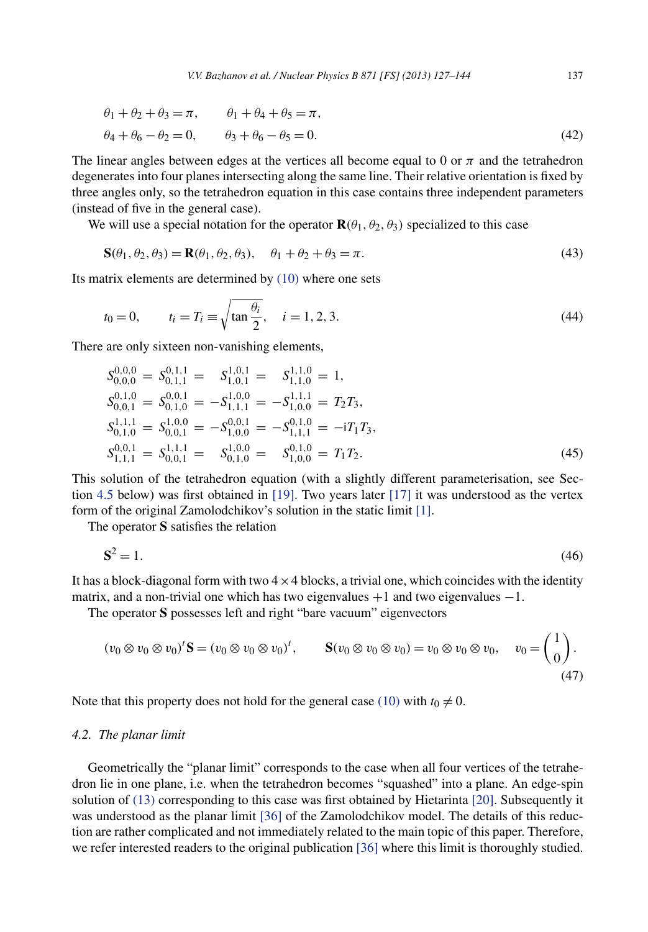<span id="page-10-0"></span>
$$
\theta_1 + \theta_2 + \theta_3 = \pi, \qquad \theta_1 + \theta_4 + \theta_5 = \pi, \n\theta_4 + \theta_6 - \theta_2 = 0, \qquad \theta_3 + \theta_6 - \theta_5 = 0.
$$
\n(42)

The linear angles between edges at the vertices all become equal to 0 or  $\pi$  and the tetrahedron degenerates into four planes intersecting along the same line. Their relative orientation is fixed by three angles only, so the tetrahedron equation in this case contains three independent parameters (instead of five in the general case).

We will use a special notation for the operator  $\mathbf{R}(\theta_1, \theta_2, \theta_3)$  specialized to this case

$$
\mathbf{S}(\theta_1, \theta_2, \theta_3) = \mathbf{R}(\theta_1, \theta_2, \theta_3), \quad \theta_1 + \theta_2 + \theta_3 = \pi.
$$
\n<sup>(43)</sup>

Its matrix elements are determined by [\(10\)](#page-3-0) where one sets

$$
t_0 = 0,
$$
  $t_i = T_i \equiv \sqrt{\tan \frac{\theta_i}{2}}, \quad i = 1, 2, 3.$  (44)

There are only sixteen non-vanishing elements,

$$
S_{0,0,0}^{0,0,0} = S_{0,1,1}^{0,1,1} = S_{1,0,1}^{1,0,1} = S_{1,1,0}^{1,1,0} = 1,
$$
  
\n
$$
S_{0,0,1}^{0,1,0} = S_{0,1,0}^{0,0,1} = -S_{1,1,1}^{1,0,0} = -S_{1,0,0}^{1,1,1} = T_2T_3,
$$
  
\n
$$
S_{0,1,0}^{1,1,1} = S_{0,0,1}^{1,0,0} = -S_{1,0,0}^{0,0,1} = -S_{1,1,1}^{0,1,0} = -iT_1T_3,
$$
  
\n
$$
S_{1,1,1}^{0,0,1} = S_{0,0,1}^{1,1,1} = S_{0,1,0}^{1,0,0} = S_{1,0,0}^{0,1,0} = T_1T_2.
$$
  
\n(45)

This solution of the tetrahedron equation (with a slightly different parameterisation, see Section [4.5](#page-14-0) below) was first obtained in [\[19\].](#page-16-0) Two years later [\[17\]](#page-16-0) it was understood as the vertex form of the original Zamolodchikov's solution in the static limit [\[1\].](#page-16-0)

The operator **S** satisfies the relation

$$
\mathbf{S}^2 = 1.\tag{46}
$$

It has a block-diagonal form with two  $4 \times 4$  blocks, a trivial one, which coincides with the identity matrix, and a non-trivial one which has two eigenvalues  $+1$  and two eigenvalues  $-1$ .

The operator **S** possesses left and right "bare vacuum" eigenvectors

$$
(v_0 \otimes v_0 \otimes v_0)^t \mathbf{S} = (v_0 \otimes v_0 \otimes v_0)^t, \qquad \mathbf{S}(v_0 \otimes v_0 \otimes v_0) = v_0 \otimes v_0 \otimes v_0, \quad v_0 = \begin{pmatrix} 1 \\ 0 \end{pmatrix}.
$$
\n
$$
(47)
$$

Note that this property does not hold for the general case [\(10\)](#page-3-0) with  $t_0 \neq 0$ .

# *4.2. The planar limit*

Geometrically the "planar limit" corresponds to the case when all four vertices of the tetrahedron lie in one plane, i.e. when the tetrahedron becomes "squashed" into a plane. An edge-spin solution of [\(13\)](#page-4-0) corresponding to this case was first obtained by Hietarinta [\[20\].](#page-17-0) Subsequently it was understood as the planar limit [\[36\]](#page-17-0) of the Zamolodchikov model. The details of this reduction are rather complicated and not immediately related to the main topic of this paper. Therefore, we refer interested readers to the original publication [\[36\]](#page-17-0) where this limit is thoroughly studied.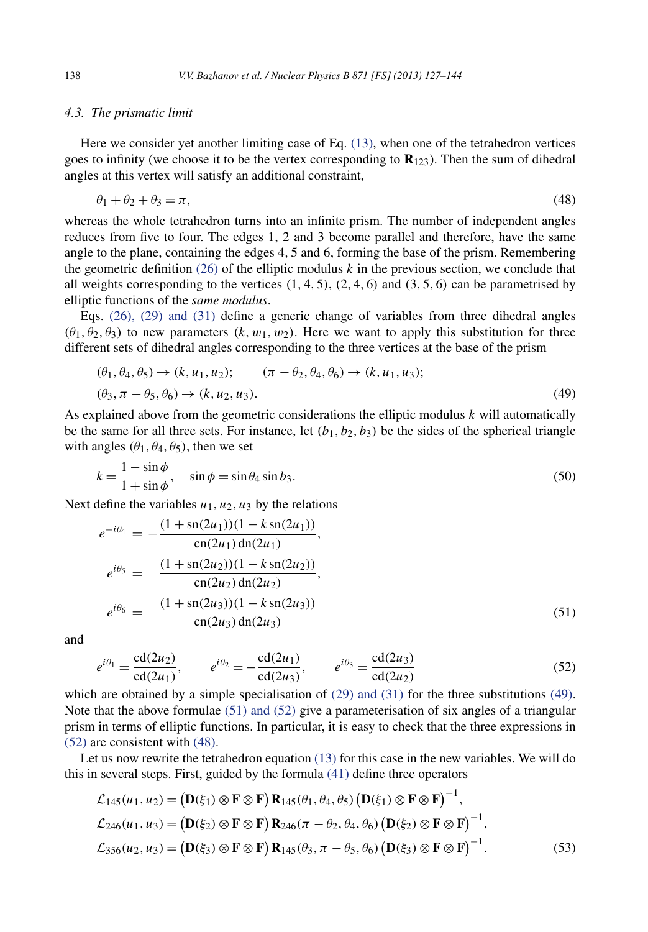#### <span id="page-11-0"></span>*4.3. The prismatic limit*

Here we consider yet another limiting case of Eq. [\(13\),](#page-4-0) when one of the tetrahedron vertices goes to infinity (we choose it to be the vertex corresponding to  $\mathbf{R}_{123}$ ). Then the sum of dihedral angles at this vertex will satisfy an additional constraint,

$$
\theta_1 + \theta_2 + \theta_3 = \pi,\tag{48}
$$

whereas the whole tetrahedron turns into an infinite prism. The number of independent angles reduces from five to four. The edges 1, 2 and 3 become parallel and therefore, have the same angle to the plane, containing the edges 4*,* 5 and 6, forming the base of the prism. Remembering the geometric definition  $(26)$  of the elliptic modulus k in the previous section, we conclude that all weights corresponding to the vertices *(*1*,* 4*,* 5*)*, *(*2*,* 4*,* 6*)* and *(*3*,* 5*,* 6*)* can be parametrised by elliptic functions of the *same modulus*.

Eqs. [\(26\), \(29\) and \(31\)](#page-7-0) define a generic change of variables from three dihedral angles  $(\theta_1, \theta_2, \theta_3)$  to new parameters  $(k, w_1, w_2)$ . Here we want to apply this substitution for three different sets of dihedral angles corresponding to the three vertices at the base of the prism

$$
(\theta_1, \theta_4, \theta_5) \to (k, u_1, u_2); \qquad (\pi - \theta_2, \theta_4, \theta_6) \to (k, u_1, u_3);\n(\theta_3, \pi - \theta_5, \theta_6) \to (k, u_2, u_3).
$$
\n(49)

As explained above from the geometric considerations the elliptic modulus *k* will automatically be the same for all three sets. For instance, let  $(b_1, b_2, b_3)$  be the sides of the spherical triangle with angles  $(\theta_1, \theta_4, \theta_5)$ , then we set

$$
k = \frac{1 - \sin \phi}{1 + \sin \phi}, \quad \sin \phi = \sin \theta_4 \sin b_3.
$$
 (50)

Next define the variables  $u_1, u_2, u_3$  by the relations

$$
e^{-i\theta_4} = -\frac{(1 + \operatorname{sn}(2u_1))(1 - k \operatorname{sn}(2u_1))}{\operatorname{cn}(2u_1) \operatorname{dn}(2u_1)},
$$
  
\n
$$
e^{i\theta_5} = \frac{(1 + \operatorname{sn}(2u_2))(1 - k \operatorname{sn}(2u_2))}{\operatorname{cn}(2u_2) \operatorname{dn}(2u_2)},
$$
  
\n
$$
e^{i\theta_6} = \frac{(1 + \operatorname{sn}(2u_3))(1 - k \operatorname{sn}(2u_3))}{\operatorname{cn}(2u_3) \operatorname{dn}(2u_3)}
$$
\n(51)

and

$$
e^{i\theta_1} = \frac{\text{cd}(2u_2)}{\text{cd}(2u_1)}, \qquad e^{i\theta_2} = -\frac{\text{cd}(2u_1)}{\text{cd}(2u_3)}, \qquad e^{i\theta_3} = \frac{\text{cd}(2u_3)}{\text{cd}(2u_2)} \tag{52}
$$

which are obtained by a simple specialisation of [\(29\) and \(31\)](#page-7-0) for the three substitutions (49). Note that the above formulae  $(51)$  and  $(52)$  give a parameterisation of six angles of a triangular prism in terms of elliptic functions. In particular, it is easy to check that the three expressions in (52) are consistent with (48).

Let us now rewrite the tetrahedron equation [\(13\)](#page-4-0) for this case in the new variables. We will do this in several steps. First, guided by the formula [\(41\)](#page-9-0) define three operators

$$
\mathcal{L}_{145}(u_1, u_2) = (\mathbf{D}(\xi_1) \otimes \mathbf{F} \otimes \mathbf{F}) \mathbf{R}_{145}(\theta_1, \theta_4, \theta_5) (\mathbf{D}(\xi_1) \otimes \mathbf{F} \otimes \mathbf{F})^{-1},
$$
  
\n
$$
\mathcal{L}_{246}(u_1, u_3) = (\mathbf{D}(\xi_2) \otimes \mathbf{F} \otimes \mathbf{F}) \mathbf{R}_{246}(\pi - \theta_2, \theta_4, \theta_6) (\mathbf{D}(\xi_2) \otimes \mathbf{F} \otimes \mathbf{F})^{-1},
$$
  
\n
$$
\mathcal{L}_{356}(u_2, u_3) = (\mathbf{D}(\xi_3) \otimes \mathbf{F} \otimes \mathbf{F}) \mathbf{R}_{145}(\theta_3, \pi - \theta_5, \theta_6) (\mathbf{D}(\xi_3) \otimes \mathbf{F} \otimes \mathbf{F})^{-1}.
$$
\n(53)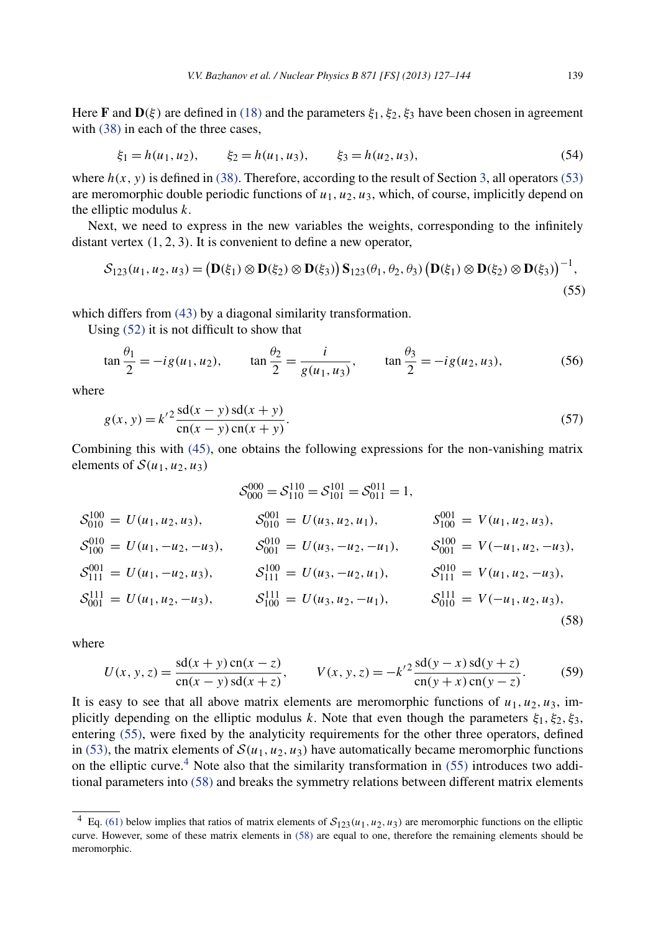<span id="page-12-0"></span>Here **F** and  $\mathbf{D}(\xi)$  are defined in [\(18\)](#page-5-0) and the parameters  $\xi_1, \xi_2, \xi_3$  have been chosen in agreement with  $(38)$  in each of the three cases,

$$
\xi_1 = h(u_1, u_2), \qquad \xi_2 = h(u_1, u_3), \qquad \xi_3 = h(u_2, u_3),
$$
\n(54)

where  $h(x, y)$  is defined in [\(38\).](#page-9-0) Therefore, according to the result of Section [3,](#page-5-0) all operators [\(53\)](#page-11-0) are meromorphic double periodic functions of *u*1*, u*2*, u*3, which, of course, implicitly depend on the elliptic modulus *k*.

Next, we need to express in the new variables the weights, corresponding to the infinitely distant vertex *(*1*,* 2*,* 3*)*. It is convenient to define a new operator,

$$
S_{123}(u_1, u_2, u_3) = (\mathbf{D}(\xi_1) \otimes \mathbf{D}(\xi_2) \otimes \mathbf{D}(\xi_3)) \mathbf{S}_{123}(\theta_1, \theta_2, \theta_3) (\mathbf{D}(\xi_1) \otimes \mathbf{D}(\xi_2) \otimes \mathbf{D}(\xi_3))^{-1},
$$
\n(55)

which differs from [\(43\)](#page-10-0) by a diagonal similarity transformation.

Using [\(52\)](#page-11-0) it is not difficult to show that

$$
\tan\frac{\theta_1}{2} = -ig(u_1, u_2), \qquad \tan\frac{\theta_2}{2} = \frac{i}{g(u_1, u_3)}, \qquad \tan\frac{\theta_3}{2} = -ig(u_2, u_3), \tag{56}
$$

where

$$
g(x, y) = k'^2 \frac{sd(x - y) sd(x + y)}{cn(x - y) cn(x + y)}.
$$
\n(57)

Combining this with [\(45\),](#page-10-0) one obtains the following expressions for the non-vanishing matrix elements of  $S(u_1, u_2, u_3)$ 

$$
S_{000}^{000} = S_{110}^{110} = S_{011}^{011} = 1,
$$
  
\n
$$
S_{010}^{100} = U(u_1, u_2, u_3), \t S_{010}^{001} = U(u_3, u_2, u_1), \t S_{100}^{001} = V(u_1, u_2, u_3),
$$
  
\n
$$
S_{100}^{010} = U(u_1, -u_2, -u_3), \t S_{001}^{010} = U(u_3, -u_2, -u_1), \t S_{001}^{100} = V(-u_1, u_2, -u_3),
$$
  
\n
$$
S_{111}^{001} = U(u_1, -u_2, u_3), \t S_{111}^{100} = U(u_3, -u_2, u_1), \t S_{111}^{010} = V(u_1, u_2, -u_3),
$$
  
\n
$$
S_{001}^{111} = U(u_1, u_2, -u_3), \t S_{100}^{111} = U(u_3, u_2, -u_1), \t S_{010}^{111} = V(-u_1, u_2, u_3),
$$
  
\n(58)

where

$$
U(x, y, z) = \frac{\text{sd}(x + y)\,\text{cn}(x - z)}{\text{cn}(x - y)\,\text{sd}(x + z)}, \qquad V(x, y, z) = -k'^2 \frac{\text{sd}(y - x)\,\text{sd}(y + z)}{\text{cn}(y + x)\,\text{cn}(y - z)}.
$$
 (59)

It is easy to see that all above matrix elements are meromorphic functions of  $u_1, u_2, u_3$ , implicitly depending on the elliptic modulus *k*. Note that even though the parameters  $\xi_1, \xi_2, \xi_3$ , entering (55), were fixed by the analyticity requirements for the other three operators, defined in [\(53\),](#page-11-0) the matrix elements of  $S(u_1, u_2, u_3)$  have automatically became meromorphic functions on the elliptic curve.<sup>4</sup> Note also that the similarity transformation in  $(55)$  introduces two additional parameters into (58) and breaks the symmetry relations between different matrix elements

<sup>&</sup>lt;sup>4</sup> Eq. [\(61\)](#page-13-0) below implies that ratios of matrix elements of  $S_{123}(u_1, u_2, u_3)$  are meromorphic functions on the elliptic curve. However, some of these matrix elements in (58) are equal to one, therefore the remaining elements should be meromorphic.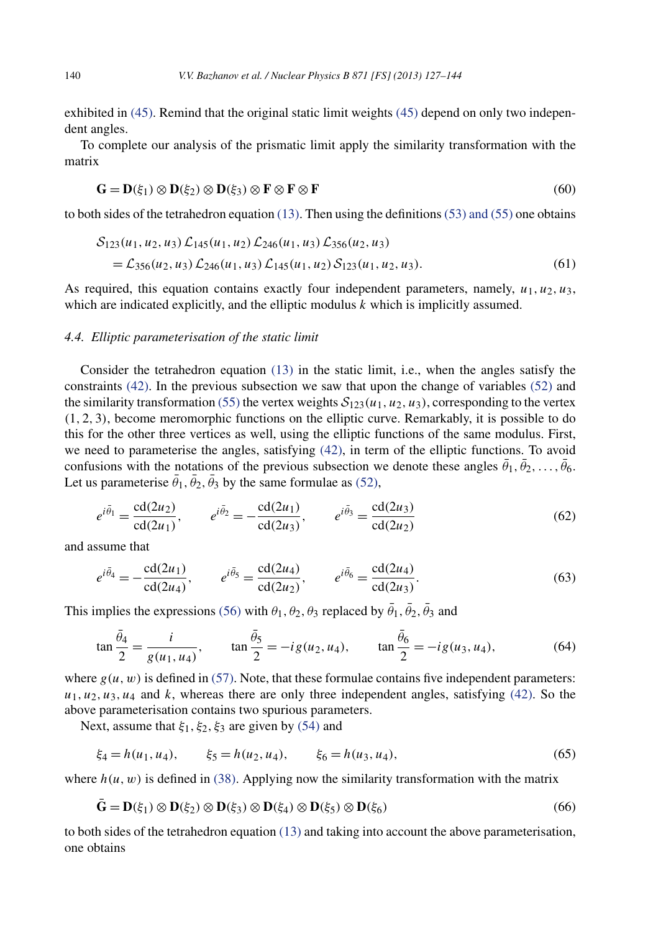<span id="page-13-0"></span>exhibited in [\(45\).](#page-10-0) Remind that the original static limit weights [\(45\)](#page-10-0) depend on only two independent angles.

To complete our analysis of the prismatic limit apply the similarity transformation with the matrix

$$
\mathbf{G} = \mathbf{D}(\xi_1) \otimes \mathbf{D}(\xi_2) \otimes \mathbf{D}(\xi_3) \otimes \mathbf{F} \otimes \mathbf{F} \otimes \mathbf{F}
$$
 (60)

to both sides of the tetrahedron equation  $(13)$ . Then using the definitions  $(53)$  and  $(55)$  one obtains

$$
S_{123}(u_1, u_2, u_3) \mathcal{L}_{145}(u_1, u_2) \mathcal{L}_{246}(u_1, u_3) \mathcal{L}_{356}(u_2, u_3)
$$
  
=  $\mathcal{L}_{356}(u_2, u_3) \mathcal{L}_{246}(u_1, u_3) \mathcal{L}_{145}(u_1, u_2) \mathcal{S}_{123}(u_1, u_2, u_3).$  (61)

As required, this equation contains exactly four independent parameters, namely,  $u_1, u_2, u_3$ , which are indicated explicitly, and the elliptic modulus *k* which is implicitly assumed.

#### *4.4. Elliptic parameterisation of the static limit*

Consider the tetrahedron equation [\(13\)](#page-4-0) in the static limit, i.e., when the angles satisfy the constraints [\(42\).](#page-10-0) In the previous subsection we saw that upon the change of variables [\(52\)](#page-11-0) and the similarity transformation [\(55\)](#page-12-0) the vertex weights  $S_{123}(u_1, u_2, u_3)$ , corresponding to the vertex *(*1*,* 2*,* 3*)*, become meromorphic functions on the elliptic curve. Remarkably, it is possible to do this for the other three vertices as well, using the elliptic functions of the same modulus. First, we need to parameterise the angles, satisfying [\(42\),](#page-10-0) in term of the elliptic functions. To avoid confusions with the notations of the previous subsection we denote these angles  $\theta_1, \theta_2, \ldots, \theta_6$ . Let us parameterise  $\theta_1$ ,  $\theta_2$ ,  $\theta_3$  by the same formulae as [\(52\),](#page-11-0)

$$
e^{i\bar{\theta}_1} = \frac{\text{cd}(2u_2)}{\text{cd}(2u_1)}, \qquad e^{i\bar{\theta}_2} = -\frac{\text{cd}(2u_1)}{\text{cd}(2u_3)}, \qquad e^{i\bar{\theta}_3} = \frac{\text{cd}(2u_3)}{\text{cd}(2u_2)} \tag{62}
$$

and assume that

$$
e^{i\bar{\theta}_4} = -\frac{\text{cd}(2u_1)}{\text{cd}(2u_4)}, \qquad e^{i\bar{\theta}_5} = \frac{\text{cd}(2u_4)}{\text{cd}(2u_2)}, \qquad e^{i\bar{\theta}_6} = \frac{\text{cd}(2u_4)}{\text{cd}(2u_3)}.
$$
(63)

This implies the expressions [\(56\)](#page-12-0) with  $\theta_1$ ,  $\theta_2$ ,  $\theta_3$  replaced by  $\theta_1$ ,  $\theta_2$ ,  $\theta_3$  and

$$
\tan\frac{\bar{\theta}_4}{2} = \frac{i}{g(u_1, u_4)}, \qquad \tan\frac{\bar{\theta}_5}{2} = -ig(u_2, u_4), \qquad \tan\frac{\bar{\theta}_6}{2} = -ig(u_3, u_4), \tag{64}
$$

where  $g(u, w)$  is defined in [\(57\).](#page-12-0) Note, that these formulae contains five independent parameters:  $u_1, u_2, u_3, u_4$  and *k*, whereas there are only three independent angles, satisfying [\(42\).](#page-10-0) So the above parameterisation contains two spurious parameters.

Next, assume that  $\xi_1$ ,  $\xi_2$ ,  $\xi_3$  are given by [\(54\)](#page-12-0) and

$$
\xi_4 = h(u_1, u_4), \qquad \xi_5 = h(u_2, u_4), \qquad \xi_6 = h(u_3, u_4),
$$
\n(65)

where  $h(u, w)$  is defined in [\(38\).](#page-9-0) Applying now the similarity transformation with the matrix

$$
\mathbf{G} = \mathbf{D}(\xi_1) \otimes \mathbf{D}(\xi_2) \otimes \mathbf{D}(\xi_3) \otimes \mathbf{D}(\xi_4) \otimes \mathbf{D}(\xi_5) \otimes \mathbf{D}(\xi_6)
$$
(66)

to both sides of the tetrahedron equation [\(13\)](#page-4-0) and taking into account the above parameterisation, one obtains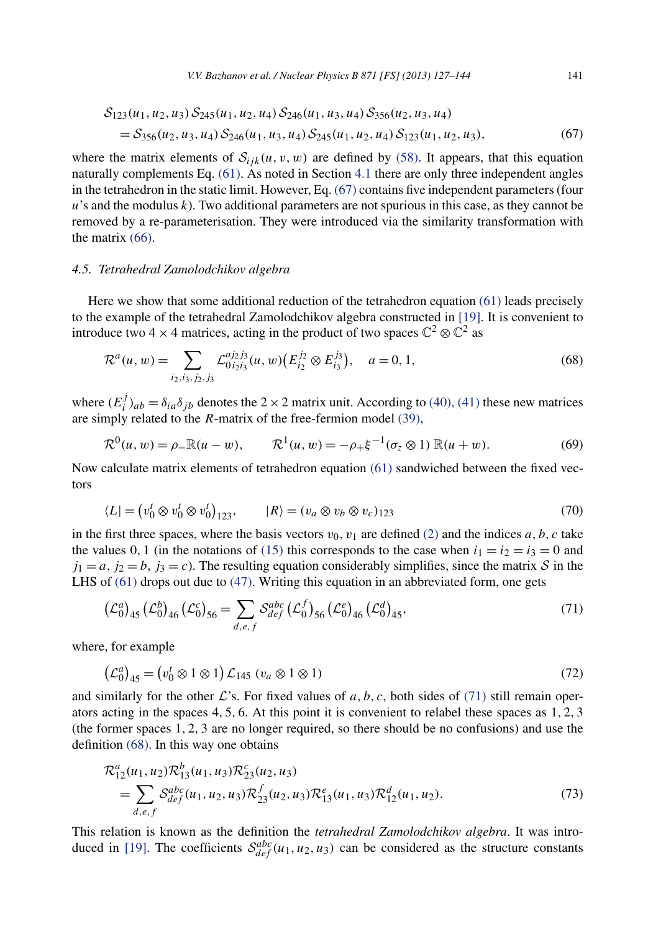<span id="page-14-0"></span>
$$
S_{123}(u_1, u_2, u_3) S_{245}(u_1, u_2, u_4) S_{246}(u_1, u_3, u_4) S_{356}(u_2, u_3, u_4)
$$
  
=  $S_{356}(u_2, u_3, u_4) S_{246}(u_1, u_3, u_4) S_{245}(u_1, u_2, u_4) S_{123}(u_1, u_2, u_3),$  (67)

where the matrix elements of  $S_{ijk}(u, v, w)$  are defined by [\(58\).](#page-12-0) It appears, that this equation naturally complements Eq. [\(61\).](#page-13-0) As noted in Section [4.1](#page-9-0) there are only three independent angles in the tetrahedron in the static limit. However, Eq. (67) contains five independent parameters (four *u*'s and the modulus *k*). Two additional parameters are not spurious in this case, as they cannot be removed by a re-parameterisation. They were introduced via the similarity transformation with the matrix [\(66\).](#page-13-0)

# *4.5. Tetrahedral Zamolodchikov algebra*

Here we show that some additional reduction of the tetrahedron equation [\(61\)](#page-13-0) leads precisely to the example of the tetrahedral Zamolodchikov algebra constructed in [\[19\].](#page-16-0) It is convenient to introduce two 4 × 4 matrices, acting in the product of two spaces  $\mathbb{C}^2 \otimes \mathbb{C}^2$  as

$$
\mathcal{R}^{a}(u, w) = \sum_{i_2, i_3, j_2, j_3} \mathcal{L}_{0i_2 i_3}^{aj_2 j_3}(u, w) \left( E_{i_2}^{j_2} \otimes E_{i_3}^{j_3} \right), \quad a = 0, 1,
$$
\n(68)

where  $(E_i^j)_{ab} = \delta_{ia}\delta_{jb}$  denotes the 2 × 2 matrix unit. According to [\(40\), \(41\)](#page-9-0) these new matrices are simply related to the *R*-matrix of the free-fermion model [\(39\),](#page-9-0)

$$
\mathcal{R}^{0}(u, w) = \rho_{-} \mathbb{R}(u - w), \qquad \mathcal{R}^{1}(u, w) = -\rho_{+} \xi^{-1}(\sigma_{z} \otimes 1) \mathbb{R}(u + w). \tag{69}
$$

Now calculate matrix elements of tetrahedron equation [\(61\)](#page-13-0) sandwiched between the fixed vectors

$$
\langle L| = \left(v_0^t \otimes v_0^t \otimes v_0^t\right)_{123}, \qquad |R\rangle = \left(v_a \otimes v_b \otimes v_c\right)_{123} \tag{70}
$$

in the first three spaces, where the basis vectors  $v_0$ ,  $v_1$  are defined [\(2\)](#page-2-0) and the indices *a*, *b*, *c* take the values 0, 1 (in the notations of [\(15\)](#page-5-0) this corresponds to the case when  $i_1 = i_2 = i_3 = 0$  and  $j_1 = a$ ,  $j_2 = b$ ,  $j_3 = c$ ). The resulting equation considerably simplifies, since the matrix S in the LHS of  $(61)$  drops out due to  $(47)$ . Writing this equation in an abbreviated form, one gets

$$
\left(\mathcal{L}_0^a\right)_{45} \left(\mathcal{L}_0^b\right)_{46} \left(\mathcal{L}_0^c\right)_{56} = \sum_{d,e,f} \mathcal{S}_{def}^{abc} \left(\mathcal{L}_0^f\right)_{56} \left(\mathcal{L}_0^e\right)_{46} \left(\mathcal{L}_0^d\right)_{45},\tag{71}
$$

where, for example

$$
\left(\mathcal{L}_0^a\right)_{45} = \left(v_0^t \otimes 1 \otimes 1\right)\mathcal{L}_{145} \ (v_a \otimes 1 \otimes 1) \tag{72}
$$

and similarly for the other  $\mathcal{L}$ 's. For fixed values of *a*, *b*, *c*, both sides of (71) still remain operators acting in the spaces 4*,* 5*,* 6. At this point it is convenient to relabel these spaces as 1*,* 2*,* 3 (the former spaces 1*,* 2*,* 3 are no longer required, so there should be no confusions) and use the definition (68). In this way one obtains

$$
\mathcal{R}_{12}^{a}(u_1, u_2) \mathcal{R}_{13}^{b}(u_1, u_3) \mathcal{R}_{23}^{c}(u_2, u_3) \n= \sum_{d,e,f} S_{def}^{abc}(u_1, u_2, u_3) \mathcal{R}_{23}^{f}(u_2, u_3) \mathcal{R}_{13}^{e}(u_1, u_3) \mathcal{R}_{12}^{d}(u_1, u_2).
$$
\n(73)

This relation is known as the definition the *tetrahedral Zamolodchikov algebra*. It was intro-duced in [\[19\].](#page-16-0) The coefficients  $S_{def}^{abc}(u_1, u_2, u_3)$  can be considered as the structure constants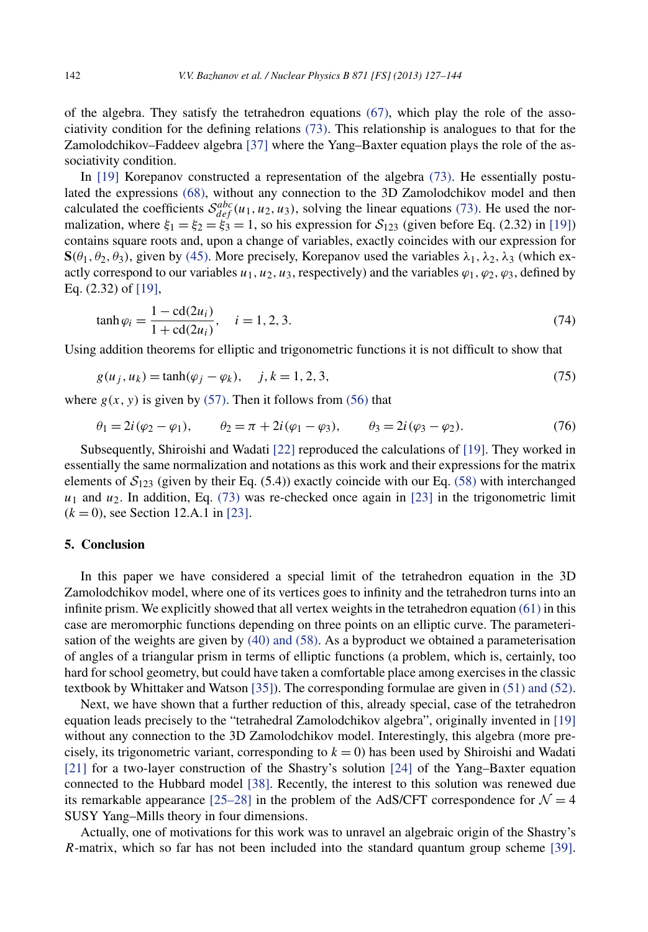of the algebra. They satisfy the tetrahedron equations [\(67\),](#page-14-0) which play the role of the associativity condition for the defining relations [\(73\).](#page-14-0) This relationship is analogues to that for the Zamolodchikov–Faddeev algebra [\[37\]](#page-17-0) where the Yang–Baxter equation plays the role of the associativity condition.

In [\[19\]](#page-16-0) Korepanov constructed a representation of the algebra [\(73\).](#page-14-0) He essentially postulated the expressions [\(68\),](#page-14-0) without any connection to the 3D Zamolodchikov model and then calculated the coefficients  $S_{def}^{abc}(u_1, u_2, u_3)$ , solving the linear equations [\(73\).](#page-14-0) He used the normalization, where  $\xi_1 = \xi_2 = \xi_3 = 1$ , so his expression for  $S_{123}$  (given before Eq. (2.32) in [\[19\]\)](#page-16-0) contains square roots and, upon a change of variables, exactly coincides with our expression for **S** $(\theta_1, \theta_2, \theta_3)$ , given by [\(45\).](#page-10-0) More precisely, Korepanov used the variables  $\lambda_1, \lambda_2, \lambda_3$  (which exactly correspond to our variables  $u_1, u_2, u_3$ , respectively) and the variables  $\varphi_1, \varphi_2, \varphi_3$ , defined by Eq. (2.32) of [\[19\],](#page-16-0)

$$
\tanh \varphi_i = \frac{1 - \text{cd}(2u_i)}{1 + \text{cd}(2u_i)}, \quad i = 1, 2, 3. \tag{74}
$$

Using addition theorems for elliptic and trigonometric functions it is not difficult to show that

$$
g(u_j, u_k) = \tanh(\varphi_j - \varphi_k), \quad j, k = 1, 2, 3,
$$
\n(75)

where  $g(x, y)$  is given by [\(57\).](#page-12-0) Then it follows from [\(56\)](#page-12-0) that

$$
\theta_1 = 2i(\varphi_2 - \varphi_1), \qquad \theta_2 = \pi + 2i(\varphi_1 - \varphi_3), \qquad \theta_3 = 2i(\varphi_3 - \varphi_2). \tag{76}
$$

Subsequently, Shiroishi and Wadati [\[22\]](#page-17-0) reproduced the calculations of [\[19\].](#page-16-0) They worked in essentially the same normalization and notations as this work and their expressions for the matrix elements of  $S_{123}$  (given by their Eq. (5.4)) exactly coincide with our Eq. [\(58\)](#page-12-0) with interchanged  $u_1$  and  $u_2$ . In addition, Eq. [\(73\)](#page-14-0) was re-checked once again in [\[23\]](#page-17-0) in the trigonometric limit  $(k = 0)$ , see Section 12.A.1 in [\[23\].](#page-17-0)

#### **5. Conclusion**

In this paper we have considered a special limit of the tetrahedron equation in the 3D Zamolodchikov model, where one of its vertices goes to infinity and the tetrahedron turns into an infinite prism. We explicitly showed that all vertex weights in the tetrahedron equation [\(61\)](#page-13-0) in this case are meromorphic functions depending on three points on an elliptic curve. The parameterisation of the weights are given by [\(40\) and \(58\).](#page-9-0) As a byproduct we obtained a parameterisation of angles of a triangular prism in terms of elliptic functions (a problem, which is, certainly, too hard for school geometry, but could have taken a comfortable place among exercises in the classic textbook by Whittaker and Watson [\[35\]\)](#page-17-0). The corresponding formulae are given in [\(51\) and \(52\).](#page-11-0)

Next, we have shown that a further reduction of this, already special, case of the tetrahedron equation leads precisely to the "tetrahedral Zamolodchikov algebra", originally invented in [\[19\]](#page-16-0) without any connection to the 3D Zamolodchikov model. Interestingly, this algebra (more precisely, its trigonometric variant, corresponding to  $k = 0$ ) has been used by Shiroishi and Wadati [\[21\]](#page-17-0) for a two-layer construction of the Shastry's solution [\[24\]](#page-17-0) of the Yang–Baxter equation connected to the Hubbard model [\[38\].](#page-17-0) Recently, the interest to this solution was renewed due its remarkable appearance [\[25–28\]](#page-17-0) in the problem of the AdS/CFT correspondence for  $\mathcal{N} = 4$ SUSY Yang–Mills theory in four dimensions.

Actually, one of motivations for this work was to unravel an algebraic origin of the Shastry's *R*-matrix, which so far has not been included into the standard quantum group scheme [\[39\].](#page-17-0)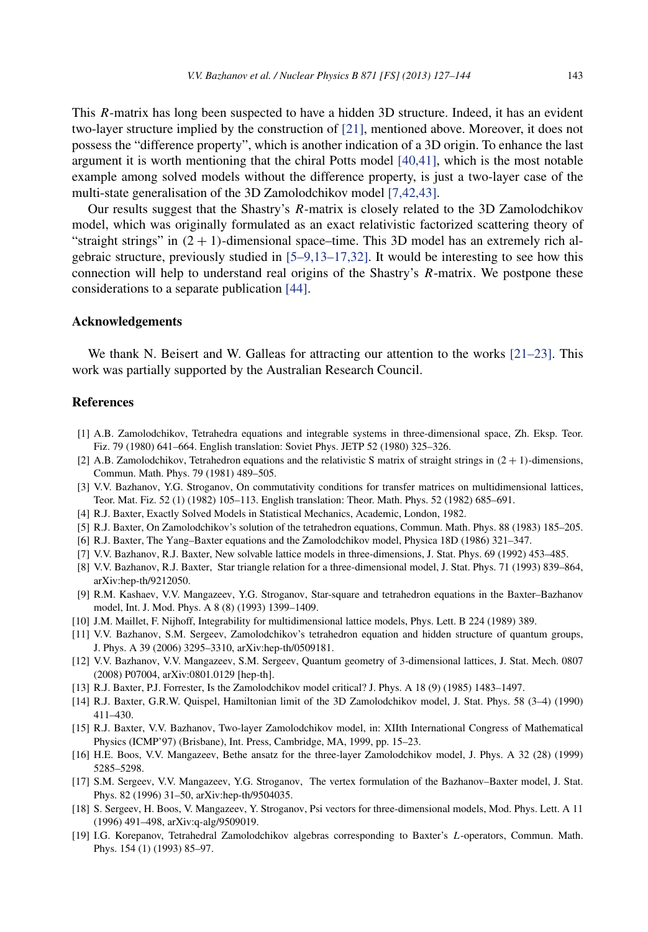<span id="page-16-0"></span>This *R*-matrix has long been suspected to have a hidden 3D structure. Indeed, it has an evident two-layer structure implied by the construction of [\[21\],](#page-17-0) mentioned above. Moreover, it does not possess the "difference property", which is another indication of a 3D origin. To enhance the last argument it is worth mentioning that the chiral Potts model [\[40,41\],](#page-17-0) which is the most notable example among solved models without the difference property, is just a two-layer case of the multi-state generalisation of the 3D Zamolodchikov model [7,42,43].

Our results suggest that the Shastry's *R*-matrix is closely related to the 3D Zamolodchikov model, which was originally formulated as an exact relativistic factorized scattering theory of "straight strings" in  $(2 + 1)$ -dimensional space–time. This 3D model has an extremely rich algebraic structure, previously studied in [5–9,13–17,32]. It would be interesting to see how this connection will help to understand real origins of the Shastry's *R*-matrix. We postpone these considerations to a separate publication [\[44\].](#page-17-0)

# **Acknowledgements**

We thank N. Beisert and W. Galleas for attracting our attention to the works  $[21-23]$ . This work was partially supported by the Australian Research Council.

# **References**

- [1] A.B. Zamolodchikov, Tetrahedra equations and integrable systems in three-dimensional space, Zh. Eksp. Teor. Fiz. 79 (1980) 641–664. English translation: Soviet Phys. JETP 52 (1980) 325–326.
- [2] A.B. Zamolodchikov, Tetrahedron equations and the relativistic S matrix of straight strings in *(*2 + 1*)*-dimensions, Commun. Math. Phys. 79 (1981) 489–505.
- [3] V.V. Bazhanov, Y.G. Stroganov, On commutativity conditions for transfer matrices on multidimensional lattices, Teor. Mat. Fiz. 52 (1) (1982) 105–113. English translation: Theor. Math. Phys. 52 (1982) 685–691.
- [4] R.J. Baxter, Exactly Solved Models in Statistical Mechanics, Academic, London, 1982.
- [5] R.J. Baxter, On Zamolodchikov's solution of the tetrahedron equations, Commun. Math. Phys. 88 (1983) 185–205.
- [6] R.J. Baxter, The Yang–Baxter equations and the Zamolodchikov model, Physica 18D (1986) 321–347.
- [7] V.V. Bazhanov, R.J. Baxter, New solvable lattice models in three-dimensions, J. Stat. Phys. 69 (1992) 453–485.
- [8] V.V. Bazhanov, R.J. Baxter, Star triangle relation for a three-dimensional model, J. Stat. Phys. 71 (1993) 839–864, arXiv:hep-th/9212050.
- [9] R.M. Kashaev, V.V. Mangazeev, Y.G. Stroganov, Star-square and tetrahedron equations in the Baxter–Bazhanov model, Int. J. Mod. Phys. A 8 (8) (1993) 1399–1409.
- [10] J.M. Maillet, F. Nijhoff, Integrability for multidimensional lattice models, Phys. Lett. B 224 (1989) 389.
- [11] V.V. Bazhanov, S.M. Sergeev, Zamolodchikov's tetrahedron equation and hidden structure of quantum groups, J. Phys. A 39 (2006) 3295–3310, arXiv:hep-th/0509181.
- [12] V.V. Bazhanov, V.V. Mangazeev, S.M. Sergeev, Quantum geometry of 3-dimensional lattices, J. Stat. Mech. 0807 (2008) P07004, arXiv:0801.0129 [hep-th].
- [13] R.J. Baxter, P.J. Forrester, Is the Zamolodchikov model critical? J. Phys. A 18 (9) (1985) 1483–1497.
- [14] R.J. Baxter, G.R.W. Quispel, Hamiltonian limit of the 3D Zamolodchikov model, J. Stat. Phys. 58 (3–4) (1990) 411–430.
- [15] R.J. Baxter, V.V. Bazhanov, Two-layer Zamolodchikov model, in: XIIth International Congress of Mathematical Physics (ICMP'97) (Brisbane), Int. Press, Cambridge, MA, 1999, pp. 15–23.
- [16] H.E. Boos, V.V. Mangazeev, Bethe ansatz for the three-layer Zamolodchikov model, J. Phys. A 32 (28) (1999) 5285–5298.
- [17] S.M. Sergeev, V.V. Mangazeev, Y.G. Stroganov, The vertex formulation of the Bazhanov–Baxter model, J. Stat. Phys. 82 (1996) 31–50, arXiv:hep-th/9504035.
- [18] S. Sergeev, H. Boos, V. Mangazeev, Y. Stroganov, Psi vectors for three-dimensional models, Mod. Phys. Lett. A 11 (1996) 491–498, arXiv:q-alg/9509019.
- [19] I.G. Korepanov, Tetrahedral Zamolodchikov algebras corresponding to Baxter's *L*-operators, Commun. Math. Phys. 154 (1) (1993) 85–97.